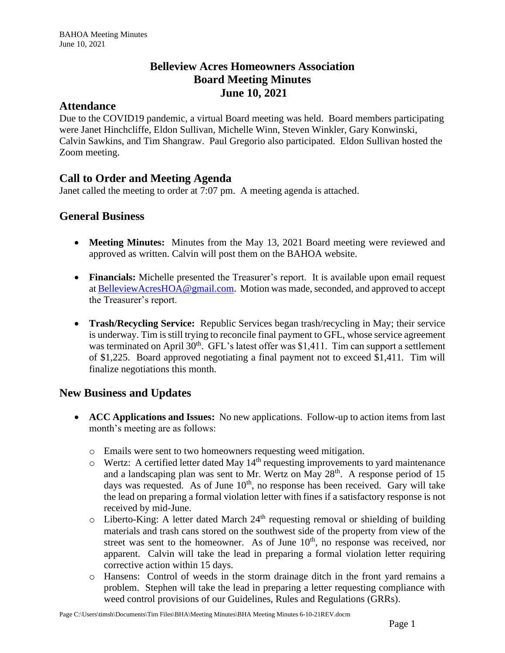## **Belleview Acres Homeowners Association Board Meeting Minutes June 10, 2021**

#### **Attendance**

Due to the COVID19 pandemic, a virtual Board meeting was held. Board members participating were Janet Hinchcliffe, Eldon Sullivan, Michelle Winn, Steven Winkler, Gary Konwinski, Calvin Sawkins, and Tim Shangraw. Paul Gregorio also participated. Eldon Sullivan hosted the Zoom meeting.

# **Call to Order and Meeting Agenda**

Janet called the meeting to order at 7:07 pm. A meeting agenda is attached.

## **General Business**

- **Meeting Minutes:** Minutes from the May 13, 2021 Board meeting were reviewed and approved as written. Calvin will post them on the BAHOA website.
- **Financials:** Michelle presented the Treasurer's report. It is available upon email request at [BelleviewAcresHOA@gmail.com.](mailto:BelleviewAcresHOA@gmail.com) Motion was made, seconded, and approved to accept the Treasurer's report.
- **Trash/Recycling Service:** Republic Services began trash/recycling in May; their service is underway. Tim is still trying to reconcile final payment to GFL, whose service agreement was terminated on April  $30<sup>th</sup>$ . GFL's latest offer was \$1,411. Tim can support a settlement of \$1,225. Board approved negotiating a final payment not to exceed \$1,411. Tim will finalize negotiations this month.

#### **New Business and Updates**

- **ACC Applications and Issues:** No new applications. Follow-up to action items from last month's meeting are as follows:
	- o Emails were sent to two homeowners requesting weed mitigation.
	- $\circ$  Wertz: A certified letter dated May 14<sup>th</sup> requesting improvements to yard maintenance and a landscaping plan was sent to Mr. Wertz on May  $28<sup>th</sup>$ . A response period of 15 days was requested. As of June  $10<sup>th</sup>$ , no response has been received. Gary will take the lead on preparing a formal violation letter with fines if a satisfactory response is not received by mid-June.
	- $\circ$  Liberto-King: A letter dated March 24<sup>th</sup> requesting removal or shielding of building materials and trash cans stored on the southwest side of the property from view of the street was sent to the homeowner. As of June  $10<sup>th</sup>$ , no response was received, nor apparent. Calvin will take the lead in preparing a formal violation letter requiring corrective action within 15 days.
	- o Hansens: Control of weeds in the storm drainage ditch in the front yard remains a problem. Stephen will take the lead in preparing a letter requesting compliance with weed control provisions of our Guidelines, Rules and Regulations (GRRs).